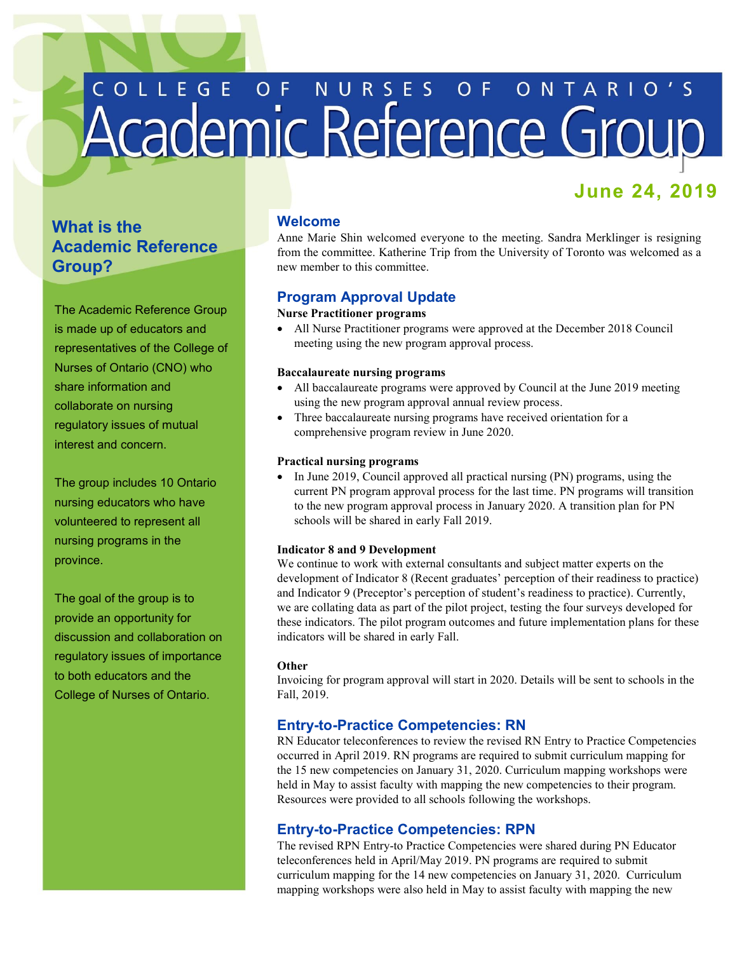# COLLEGE OF NURSES OF ONTARIO'S

# **June 24, 2019**

# **What is the Academic Reference Group?**

The Academic Reference Group is made up of educators and representatives of the College of Nurses of Ontario (CNO) who share information and collaborate on nursing regulatory issues of mutual interest and concern.

 nursing educators who have The group includes 10 Ontario volunteered to represent all nursing programs in the province.

 The goal of the group is to provide an opportunity for discussion and collaboration on regulatory issues of importance to both educators and the College of Nurses of Ontario.

## **Welcome**

 Anne Marie Shin welcomed everyone to the meeting. Sandra Merklinger is resigning from the committee. Katherine Trip from the University of Toronto was welcomed as a new member to this committee.

# **Program Approval Update**

## **Nurse Practitioner programs**

 meeting using the new program approval process. All Nurse Practitioner programs were approved at the December 2018 Council

#### **Baccalaureate nursing programs**

- All baccalaureate programs were approved by Council at the June 2019 meeting using the new program approval annual review process.
- Three baccalaureate nursing programs have received orientation for a comprehensive program review in June 2020.

#### **Practical nursing programs**

• In June 2019, Council approved all practical nursing (PN) programs, using the current PN program approval process for the last time. PN programs will transition to the new program approval process in January 2020. A transition plan for PN schools will be shared in early Fall 2019.

#### **Indicator 8 and 9 Development**

 We continue to work with external consultants and subject matter experts on the development of Indicator 8 (Recent graduates' perception of their readiness to practice) and Indicator 9 (Preceptor's perception of student's readiness to practice). Currently, we are collating data as part of the pilot project, testing the four surveys developed for these indicators. The pilot program outcomes and future implementation plans for these indicators will be shared in early Fall.

#### **Other**

 Invoicing for program approval will start in 2020. Details will be sent to schools in the Fall, 2019.

# **Entry-to-Practice Competencies: RN**

 RN Educator teleconferences to review the revised RN Entry to Practice Competencies occurred in April 2019. RN programs are required to submit curriculum mapping for the 15 new competencies on January 31, 2020. Curriculum mapping workshops were held in May to assist faculty with mapping the new competencies to their program. Resources were provided to all schools following the workshops.

### **Entry-to-Practice Competencies: RPN**

 The revised RPN Entry-to Practice Competencies were shared during PN Educator teleconferences held in April/May 2019. PN programs are required to submit curriculum mapping for the 14 new competencies on January 31, 2020. Curriculum mapping workshops were also held in May to assist faculty with mapping the new